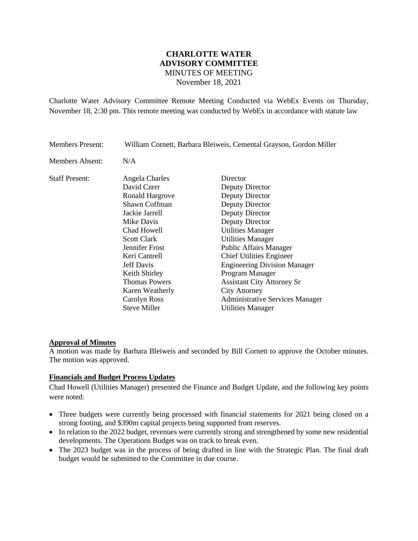# **CHARLOTTE WATER ADVISORY COMMITTEE** MINUTES OF MEETING November 18, 2021

Charlotte Water Advisory Committee Remote Meeting Conducted via WebEx Events on Thursday, November 18, 2:30 pm. This remote meeting was conducted by WebEx in accordance with statute law

| <b>Members Present:</b> | William Cornett, Barbara Bleiweis, Cemental Grayson, Gordon Miller |                                        |
|-------------------------|--------------------------------------------------------------------|----------------------------------------|
| Members Absent:         | N/A                                                                |                                        |
| <b>Staff Present:</b>   | Angela Charles                                                     | Director                               |
|                         | David Czerr                                                        | Deputy Director                        |
|                         | Ronald Hargrove                                                    | Deputy Director                        |
|                         | Shawn Coffman                                                      | Deputy Director                        |
|                         | Jackie Jarrell                                                     | Deputy Director                        |
|                         | Mike Davis                                                         | Deputy Director                        |
|                         | Chad Howell                                                        | <b>Utilities Manager</b>               |
|                         | <b>Scott Clark</b>                                                 | <b>Utilities Manager</b>               |
|                         | Jennifer Frost                                                     | <b>Public Affairs Manager</b>          |
|                         | Keri Cantrell                                                      | <b>Chief Utilities Engineer</b>        |
|                         | Jeff Davis                                                         | <b>Engineering Division Manager</b>    |
|                         | Keith Shirley                                                      | Program Manager                        |
|                         | <b>Thomas Powers</b>                                               | <b>Assistant City Attorney Sr</b>      |
|                         | Karen Weatherly                                                    | <b>City Attorney</b>                   |
|                         | Carolyn Ross                                                       | <b>Administrative Services Manager</b> |
|                         | <b>Steve Miller</b>                                                | <b>Utilities Manager</b>               |

## **Approval of Minutes**

A motion was made by Barbara Bleiweis and seconded by Bill Cornett to approve the October minutes. The motion was approved.

#### **Financials and Budget Process Updates**

Chad Howell (Utilities Manager) presented the Finance and Budget Update, and the following key points were noted:

- Three budgets were currently being processed with financial statements for 2021 being closed on a strong footing, and \$390m capital projects being supported from reserves.
- In relation to the 2022 budget, revenues were currently strong and strengthened by some new residential developments. The Operations Budget was on track to break even.
- The 2023 budget was in the process of being drafted in line with the Strategic Plan. The final draft budget would be submitted to the Committee in due course.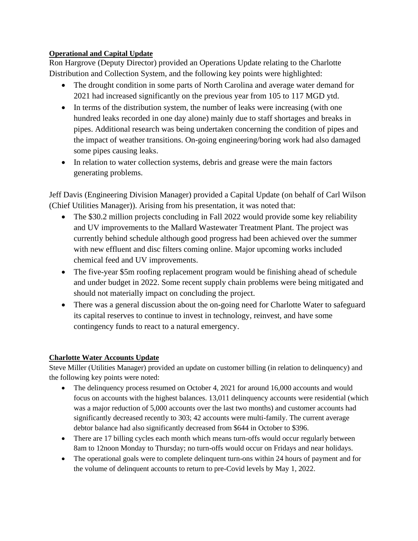## **Operational and Capital Update**

Ron Hargrove (Deputy Director) provided an Operations Update relating to the Charlotte Distribution and Collection System, and the following key points were highlighted:

- The drought condition in some parts of North Carolina and average water demand for 2021 had increased significantly on the previous year from 105 to 117 MGD ytd.
- In terms of the distribution system, the number of leaks were increasing (with one hundred leaks recorded in one day alone) mainly due to staff shortages and breaks in pipes. Additional research was being undertaken concerning the condition of pipes and the impact of weather transitions. On-going engineering/boring work had also damaged some pipes causing leaks.
- In relation to water collection systems, debris and grease were the main factors generating problems.

Jeff Davis (Engineering Division Manager) provided a Capital Update (on behalf of Carl Wilson (Chief Utilities Manager)). Arising from his presentation, it was noted that:

- The \$30.2 million projects concluding in Fall 2022 would provide some key reliability and UV improvements to the Mallard Wastewater Treatment Plant. The project was currently behind schedule although good progress had been achieved over the summer with new effluent and disc filters coming online. Major upcoming works included chemical feed and UV improvements.
- The five-year \$5m roofing replacement program would be finishing ahead of schedule and under budget in 2022. Some recent supply chain problems were being mitigated and should not materially impact on concluding the project.
- There was a general discussion about the on-going need for Charlotte Water to safeguard its capital reserves to continue to invest in technology, reinvest, and have some contingency funds to react to a natural emergency.

# **Charlotte Water Accounts Update**

Steve Miller (Utilities Manager) provided an update on customer billing (in relation to delinquency) and the following key points were noted:

- The delinquency process resumed on October 4, 2021 for around 16,000 accounts and would focus on accounts with the highest balances. 13,011 delinquency accounts were residential (which was a major reduction of 5,000 accounts over the last two months) and customer accounts had significantly decreased recently to 303; 42 accounts were multi-family. The current average debtor balance had also significantly decreased from \$644 in October to \$396.
- There are 17 billing cycles each month which means turn-offs would occur regularly between 8am to 12noon Monday to Thursday; no turn-offs would occur on Fridays and near holidays.
- The operational goals were to complete delinquent turn-ons within 24 hours of payment and for the volume of delinquent accounts to return to pre-Covid levels by May 1, 2022.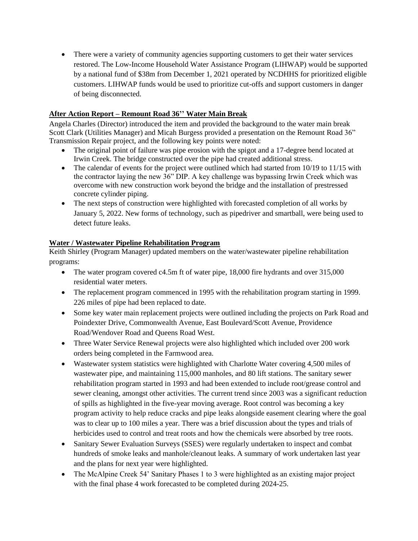• There were a variety of community agencies supporting customers to get their water services restored. The Low-Income Household Water Assistance Program (LIHWAP) would be supported by a national fund of \$38m from December 1, 2021 operated by NCDHHS for prioritized eligible customers. LIHWAP funds would be used to prioritize cut-offs and support customers in danger of being disconnected.

### **After Action Report – Remount Road 36'' Water Main Break**

Angela Charles (Director) introduced the item and provided the background to the water main break Scott Clark (Utilities Manager) and Micah Burgess provided a presentation on the Remount Road 36" Transmission Repair project, and the following key points were noted:

- The original point of failure was pipe erosion with the spigot and a 17-degree bend located at Irwin Creek. The bridge constructed over the pipe had created additional stress.
- The calendar of events for the project were outlined which had started from 10/19 to 11/15 with the contractor laying the new 36" DIP. A key challenge was bypassing Irwin Creek which was overcome with new construction work beyond the bridge and the installation of prestressed concrete cylinder piping.
- The next steps of construction were highlighted with forecasted completion of all works by January 5, 2022. New forms of technology, such as pipedriver and smartball, were being used to detect future leaks.

## **Water / Wastewater Pipeline Rehabilitation Program**

Keith Shirley (Program Manager) updated members on the water/wastewater pipeline rehabilitation programs:

- The water program covered c4.5m ft of water pipe, 18,000 fire hydrants and over 315,000 residential water meters.
- The replacement program commenced in 1995 with the rehabilitation program starting in 1999. 226 miles of pipe had been replaced to date.
- Some key water main replacement projects were outlined including the projects on Park Road and Poindexter Drive, Commonwealth Avenue, East Boulevard/Scott Avenue, Providence Road/Wendover Road and Queens Road West.
- Three Water Service Renewal projects were also highlighted which included over 200 work orders being completed in the Farmwood area.
- Wastewater system statistics were highlighted with Charlotte Water covering 4,500 miles of wastewater pipe, and maintaining 115,000 manholes, and 80 lift stations. The sanitary sewer rehabilitation program started in 1993 and had been extended to include root/grease control and sewer cleaning, amongst other activities. The current trend since 2003 was a significant reduction of spills as highlighted in the five-year moving average. Root control was becoming a key program activity to help reduce cracks and pipe leaks alongside easement clearing where the goal was to clear up to 100 miles a year. There was a brief discussion about the types and trials of herbicides used to control and treat roots and how the chemicals were absorbed by tree roots.
- Sanitary Sewer Evaluation Surveys (SSES) were regularly undertaken to inspect and combat hundreds of smoke leaks and manhole/cleanout leaks. A summary of work undertaken last year and the plans for next year were highlighted.
- The McAlpine Creek 54' Sanitary Phases 1 to 3 were highlighted as an existing major project with the final phase 4 work forecasted to be completed during 2024-25.